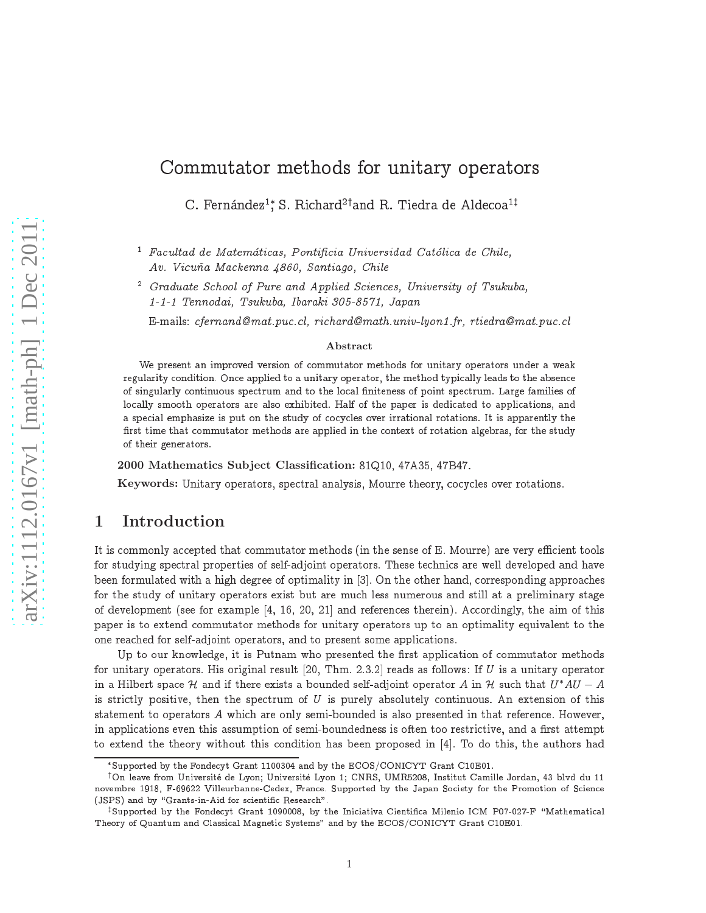# Commutator methods for unitary operators

C. Fernández $^1\raisebox{0.1em}{\text{*}}$  S. Richard $^{2\dagger}$ and R. Tiedra de Aldecoa $^{1\dagger}$ 

racania de matematicas, Pontificia Oniversidad Catolica de Chile, Av. Vicuña Mackenna 4860, Santiago, Chile

- Graauate Scnool of Pure ana Applied Sciences, University of Isukuba, 1-1-1 Tennodai, Tsukuba, Ibaraki 305-8571, Japan

E-mails: cfernand@mat.puc.cl, richard@math.univ-lyon1.fr, rtiedra@mat.puc.cl

#### Abstract

We present an improved version of commutator methods for unitary operators under a weak regularity condition. Once applied to a unitary operator, the method typically leads to the absence of singularly continuous spectrum and to the local finiteness of point spectrum. Large families of locally smooth operators are also exhibited. Half of the paper is dedicated to applications, and a special emphasize is put on the study of cocycles over irrational rotations. It is apparently the first time that commutator methods are applied in the context of rotation algebras, for the study of their generators.

2000 Mathematics Subject Classification: 81Q10, 47A35, 47B47.

Keywords: Unitary operators, spectral analysis, Mourre theory, cocycles over rotations.

# 1 Introduction

It is commonly accepted that commutator methods (in the sense of E. Mourre) are very efficient tools for studying spectral properties of self-adjoint operators. These technics are well developed and have been formulated with a high degree of optimality in [3]. On the other hand, corresponding approaches for the study of unitary operators exist but are mu
h less numerous and still at a preliminary stage of development (see for example  $[4, 16, 20, 21]$  and references therein). Accordingly, the aim of this paper is to extend ommutator methods for unitary operators up to an optimality equivalent to the one rea
hed for self-adjoint operators, and to present some appli
ations.

Up to our knowledge, it is Putnam who presented the first application of commutator methods for unitary operators. His original result [20, Thm. 2.3.2] reads as follows: If U is a unitary operator in a Hilbert space H and if there exists a bounded self-adjoint operator A in H such that  $U^*AU - A$ is strictly positive, then the spectrum of  $U$  is purely absolutely continuous. An extension of this statement to operators A which are only semi-bounded is also presented in that reference. However, in applications even this assumption of semi-boundedness is often too restrictive, and a first attempt to extend the theory without this condition has been proposed in [4]. To do this, the authors had

Supported by the Fonde
yt Grant 1100304 and by the ECOS/CONICYT Grant C10E01.

<sup>&</sup>lt;sup>†</sup>On leave from Université de Lyon; Université Lyon 1; CNRS, UMR5208, Institut Camille Jordan, 43 blvd du 11 novembre 1918, F-69622 Villeurbanne-Cedex, France. Supported by the Japan Society for the Promotion of Science (JSPS) and by "Grants-in-Aid for scientific Research".

vsupported by the Fondecyt Grant I090006, by the Iniciativa Cientifica Milenio ICM P07-027-F - Mathematical Theory of Quantum and Classical Magnetic Systems" and by the ECOS/CONICYT Grant C10E01.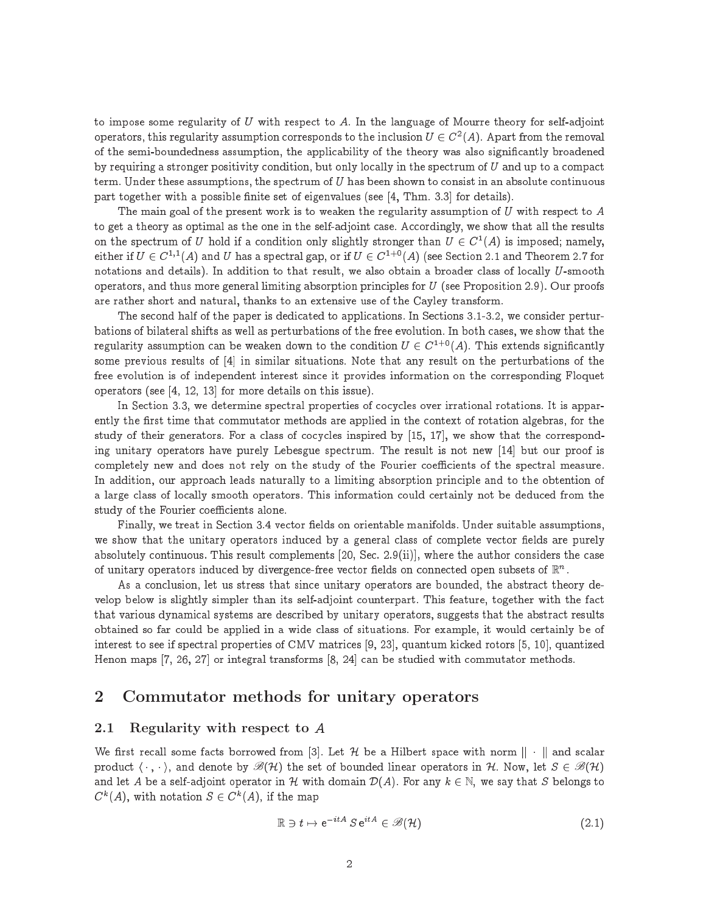to impose some regularity of U with respect to A. In the language of Mourre theory for self-adjoint operators, this regularity assumption corresponds to the inclusion  $U \in C^+(A)$ . Apart from the removal of the semi-boundedness assumption, the applicability of the theory was also significantly broadened by requiring a stronger positivity condition, but only locally in the spectrum of  $U$  and up to a compact term. Under these assumptions, the spectrum of  $U$  has been shown to consist in an absolute continuous part together with a possible finite set of eigenvalues (see [4, Thm. 3.3] for details).

The main goal of the present work is to weaken the regularity assumption of  $U$  with respect to  $A$ to get a theory as optimal as the one in the self-adjoint case. Accordingly, we show that all the results on the spectrum of  $U$  hold if a condition only slightly stronger than  $U \in C^+(A)$  is imposed; namely, either if  $U \in C^{*r}(A)$  and  $U$  has a spectral gap, or if  $U \in C^{*r}(A)$  i see Section 2.1 and Theorem 2.7 for notations and details). In addition to that result, we also obtain a broader class of locally U-smooth operators, and thus more general limiting absorption principles for  $U$  (see Proposition 2.9). Our proofs are rather short and natural, thanks to an extensive use of the Cayley transform.

The second half of the paper is dedicated to applications. In Sections 3.1-3.2, we consider perturbations of bilateral shifts as well as perturbations of the free evolution. In both ases, we show that the regularity assumption can be weaken down to the condition  $U \in C^{1+0}(A)$ . This extends significantly some previous results of  $[4]$  in similar situations. Note that any result on the perturbations of the free evolution is of independent interest since it provides information on the corresponding Floquet operators (see  $[4, 12, 13]$  for more details on this issue).

In Section 3.3, we determine spectral properties of cocycles over irrational rotations. It is apparently the first time that commutator methods are applied in the context of rotation algebras, for the study of their generators. For a class of cocycles inspired by  $[15, 17]$ , we show that the corresponding unitary operators have purely Lebesgue spectrum. The result is not new [14] but our proof is completely new and does not rely on the study of the Fourier coefficients of the spectral measure. In addition, our approach leads naturally to a limiting absorption principle and to the obtention of a large class of locally smooth operators. This information could certainly not be deduced from the study of the Fourier coefficients alone.

Finally, we treat in Section 3.4 vector fields on orientable manifolds. Under suitable assumptions, we show that the unitary operators induced by a general class of complete vector fields are purely absolutely continuous. This result complements [20, Sec. 2.9(ii)], where the author considers the case of unitary operators induced by divergence-free vector fields on connected open subsets of  $\mathbb{R}^n$ .

As a conclusion, let us stress that since unitary operators are bounded, the abstract theory develop below is slightly simpler than its self-adjoint counterpart. This feature, together with the fact that various dynamical systems are described by unitary operators, suggests that the abstract results obtained so far could be applied in a wide class of situations. For example, it would certainly be of interest to see if spectral properties of CMV matrices [9, 23], quantum kicked rotors [5, 10], quantized Henon maps [7, 26, 27] or integral transforms [8, 24] can be studied with commutator methods.

# 2 Commutator methods for unitary operators

### 2.1 Regularity with respect to <sup>A</sup>

We first recall some facts borrowed from [3]. Let H be a Hilbert space with norm  $\|\cdot\|$  and scalar product  $\langle \cdot, \cdot \rangle$ , and denote by  $\mathscr{B}(H)$  the set of bounded linear operators in H. Now, let  $S \in \mathscr{B}(H)$ and let A be a self-adjoint operator in H with domain  $\mathcal{D}(A)$ . For any  $k \in \mathbb{N}$ , we say that S belongs to  $C^k(A)$ , with notation  $S \in C^k(A)$ , if the map

$$
\mathbb{R} \ni t \mapsto e^{-itA} S e^{itA} \in \mathscr{B}(\mathcal{H}) \tag{2.1}
$$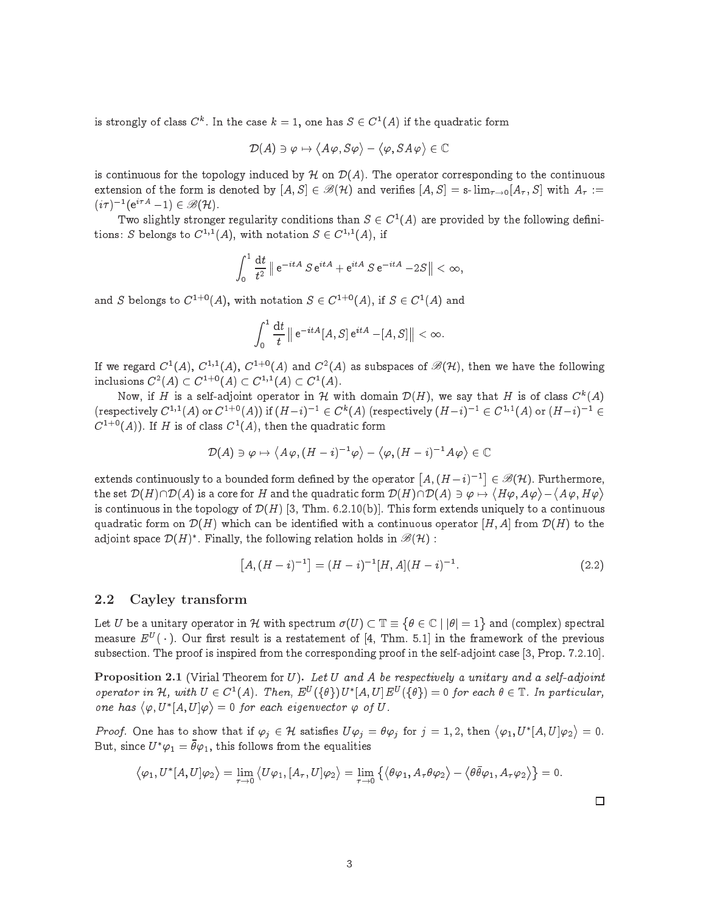is strongly of class  $C^k$ . In the case  $k=1$ , one has  $S \in C^1(A)$  if the quadratic form

$$
\mathcal{D}(A) \ni \varphi \mapsto \langle A \varphi, S \varphi \rangle - \langle \varphi, S A \varphi \rangle \in \mathbb{C}
$$

is continuous for the topology induced by  $\mathcal H$  on  $\mathcal D(A)$ . The operator corresponding to the continuous extension of the form is denoted by  $[A, S] \in \mathcal{B}(\mathcal{H})$  and verifies  $[A, S] = \text{s-lim}_{\tau \to 0}[A_{\tau}, S]$  with  $A_{\tau} :=$  $(i\tau )^{-1} (e^{i\tau A}-1) \in \mathscr{B}(H)$ .

Two singhtly stronger regularity conditions than  $S \in C^{-1}A$ ) are provided by the following definitions: S belongs to  $C^{1,1}(A)$ , with notation  $S \in C^{1,1}(A)$ , if

$$
\int_0^1 \frac{\mathrm{d}t}{t^2} \parallel \mathrm{e}^{-itA} S \mathrm{e}^{itA} + \mathrm{e}^{itA} S \mathrm{e}^{-itA} - 2S \parallel < \infty,
$$

and S belongs to  $C_1+A$ ), with notation  $S \in C_1(A)$ , if  $S \in C_1(A)$  and

$$
\int_0^1 \frac{\mathrm{d}t}{t} \,\|\,\mathrm{e}^{-itA}[A,S]\,\mathrm{e}^{itA}-[A,S]\|<\infty.
$$

If we regard  $C^1(A)$ ,  $C^{1,1}(A)$ ,  $C^{1+0}(A)$  and  $C^2(A)$  as subspaces of  $\mathscr{B}(H)$ , then we have the following inclusions  $C^2(A) \subset C^{1+\delta}(A) \subset C^{1+\epsilon}(A) \subset C^2(A)$ .

Now, if H is a self-adjoint operator in H with domain  $\mathcal{D}(H)$ , we say that H is of class  $C^k(A)$ (respectively  $C^{1,1}(A)$  or  $C^{1+0}(A)$ ) if  $(H-i)^{-1} \in C^k(A)$  (respectively  $(H-i)^{-1} \in C^{1,1}(A)$  or  $(H-i)^{-1} \in$  $C^+$  (A)). If H is of class  $C^-(A)$ , then the quadratic form

$$
\mathcal{D}(A) \ni \varphi \mapsto \left\langle A \varphi, (H-i)^{-1} \varphi \right\rangle - \left\langle \varphi, (H-i)^{-1} A \varphi \right\rangle \in \mathbb{C}
$$

extends continuously to a bounded form defined by the operator  $[A,(H-i)^{-1}]\in \mathscr{B}( \mathcal{H})$ . Furthermore, the set  $\mathcal{D}(H)\cap\mathcal{D}(A)$  is a core for  $H$  and the quadratic form  $\mathcal{D}(H)\cap\mathcal{D}(A)\ni\varphi\mapsto \langle H\varphi,A\varphi\rangle \langle A\varphi, H\varphi \rangle$ is continuous in the topology of  $\mathcal{D}(H)$  [3, Thm. 6.2.10(b)]. This form extends uniquely to a continuous quadratic form on  $\mathcal{D}(H)$  which can be identified with a continuous operator [H, A] from  $\mathcal{D}(H)$  to the adjoint space  $\mathcal{D}(H)^*$ . Finally, the following relation holds in  $\mathscr{B}(H)$ :

$$
[A,(H-i)^{-1}] = (H-i)^{-1}[H,A](H-i)^{-1}.
$$
\n(2.2)

#### 2.2 Cayley transform

Let U be a unitary operator in <sup>H</sup> with spe
trum (U) <sup>T</sup> - <sup>2</sup> <sup>C</sup> <sup>j</sup> jj = 1 . . and the complex of the complex of the complex of the complex of the complex of the complex of the complex of the complex of the complex of the complex of the complex of the complex of the complex of the complex of the comp measure  $E^{U}(\ \cdot\ )$ . Our first result is a restatement of [4, Thm. 5.1] in the framework of the previous subsection. The proof is inspired from the corresponding proof in the self-adjoint case [3, Prop. 7.2.10].

Proposition 2.1 (Virial Theorem for  $U$ ). Let  $U$  and  $A$  be respectively a unitary and a self-adjoint operator in H, with  $U \in C^1(A)$ . Then,  $E^U(\{\theta\})U^*[A, U]E^U(\{\theta\}) = 0$  for each  $\theta \in \mathbb{T}$ . In particular, one has  $\langle \varphi, U^* | A, U | \varphi \rangle = 0$  for each eigenvector  $\varphi$  of U.

*Proof.* One has to show that if  $\varphi_j \in \mathcal{H}$  satisfies  $U\varphi_j = \theta \varphi_j$  for  $j = 1, 2$ , then  $\langle \varphi_1, U^* [A, U] \varphi_2 \rangle$ But, since  $U^{\dagger}\varphi_{1}=\theta\varphi_{1},$  this follows from the equalities

$$
\langle \varphi_1, U^*[A, U]\varphi_2 \rangle = \lim_{\tau \to 0} \langle U\varphi_1, [A_\tau, U]\varphi_2 \rangle = \lim_{\tau \to 0} \left\{ \langle \theta \varphi_1, A_\tau \theta \varphi_2 \rangle - \langle \theta \overline{\theta} \varphi_1, A_\tau \varphi_2 \rangle \right\} = 0.
$$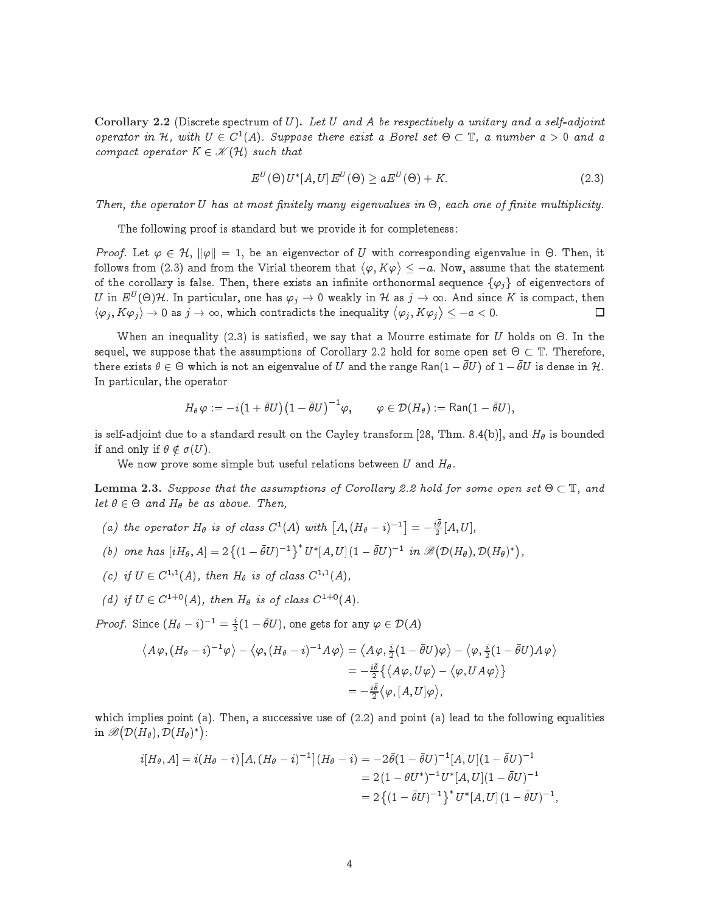Corollary 2.2 (Discrete spectrum of U). Let U and A be respectively a unitary and a self-adjoint operator in  $H$ , with  $U \in C^1(A)$ . Suppose there exist a Borel set  $\Theta \subset \mathbb{T}$ , a number  $a > 0$  and a compact operator  $K \in \mathcal{K}(\mathcal{H})$  such that

$$
E^{U}(\Theta) U^*[A, U] E^{U}(\Theta) \ge a E^{U}(\Theta) + K. \tag{2.3}
$$

 $-$ 

Then, the operator U has at most nitely many eigenvalues in -, ea
h one of nite multipli
ity.

The following proof is standard but we provide it for completeness:

Proof. Let  $\varphi \in H$ ,  $\|\varphi\| = 1$ , be an eigenvector of U with corresponding eigenvalue in  $\Theta$ . Then, it follows from (2.3) and from the Virial theorem that  $\langle \varphi, K \varphi \rangle \leq -a$ . Now, assume that the statement of the corollary is false. Then, there exists an infinite orthonormal sequence  $\{\varphi_i\}$  of eigenvectors of  $U$  in  $E^U(\Theta)\mathcal{H}$ . In particular, one has  $\varphi_j\to 0$  weakly in  $\mathcal H$  as  $j\to\infty$ . And since  $K$  is compact, then  $\langle \varphi_j , K \varphi_j \rangle \to 0$  as  $j \to \infty$ , which contradicts the inequality  $\langle \varphi_j , K \varphi_j \rangle$ 口 and the contract of the contract of  $\mathcal{A}$ 

When an inequality (2.3) is satisfied, we say that a Mourre estimate for  $\mathbf{U}$  holds on  $\mathbf{U}$ sequel, we suppose that the assumptions of Corollary 2.2 hold for some open specific for some open set there exists  $\theta\in\Theta$  which is not an eigenvalue of  $U$  and the range Ran $(1-\bar\theta U)$  of  $1-\bar\theta U$  is dense in  $\mathcal H$ . In particular, the operator

$$
H_\theta\, \varphi := -i\big(1+\bar\theta U\big)\big(1-\bar\theta U\big)^{-1}\varphi, \qquad \varphi \in \mathcal{D}(H_\theta) := \mathsf{Ran}(1-\bar\theta U),
$$

is self-adjoint due to a standard result on the Cayley transform [28, Thm. 8.4(b)], and  $H_\theta$  is bounded if and only if  $\theta \notin \sigma(U)$ .

We now prove some simple but useful relations between U and  $H_{\theta}$ .

Lemma 2.3. Suppose that the assumptions of Corollary 2.2 hold for some open set  $\Theta \subset \mathbb{T},$  and let  $\sigma \in \mathcal{Q}$  and  $\pi_{\theta}$  be as above. Then,

- (a) the operator  $H_{\theta}$  is of class  $C^1(A)$  with  $[A,(H_{\theta}-i)^{-1}] = -\frac{i\theta}{2}[A,U],$
- (b) one has  $[iH_\theta, A] = 2\{(1 \bar{\theta}U)^{-1}\}^* U^*[A, U](1 \bar{\theta}U)^{-1}$  in  $\mathscr{B}(\mathcal{D}(H_\theta), \mathcal{D}(H_\theta)^*)$ ,
- (c) if  $U \in C^{1,+}(A)$ , then  $H_{\theta}$  is of class  $C^{1,+}(A)$ ,
- (d) if  $U \in C^{1+0}(A)$ , then  $H_{\theta}$  is of class  $C^{1+0}(A)$ .

*Proof.* Since  $(H_{\theta}-i)^{-1} = \frac{i}{2}(1-\bar{\theta}U)$ , one gets for any  $\varphi \in \mathcal{D}(A)$ 

$$
\langle A\varphi, (H_{\theta}-i)^{-1}\varphi \rangle - \langle \varphi, (H_{\theta}-i)^{-1}A\varphi \rangle = \langle A\varphi, \frac{i}{2}(1-\bar{\theta}U)\varphi \rangle - \langle \varphi, \frac{i}{2}(1-\bar{\theta}U)A\varphi \rangle
$$
  
=  $-\frac{i\bar{\theta}}{2}\big\langle A\varphi, U\varphi \rangle - \langle \varphi, UA\varphi \rangle \big\}$   
=  $-\frac{i\bar{\theta}}{2}\langle \varphi, [A, U]\varphi \rangle$ ,

which implies point (a). Then, a successive use of  $(2.2)$  and point (a) lead to the following equalities in  $\mathscr{B}(\mathcal{D}(H_{\theta}), \mathcal{D}(H_{\theta})^*)$ 

$$
i[H_{\theta}, A] = i(H_{\theta} - i) [A, (H_{\theta} - i)^{-1}](H_{\theta} - i) = -2 \bar{\theta} (1 - \bar{\theta} U)^{-1} [A, U] (1 - \bar{\theta} U)^{-1}
$$
  
= 2(1 - \theta U^\*)^{-1} U^\*[A, U] (1 - \bar{\theta} U)^{-1}  
= 2 { (1 - \bar{\theta} U)^{-1} }^\* U^\*[A, U] (1 - \bar{\theta} U)^{-1},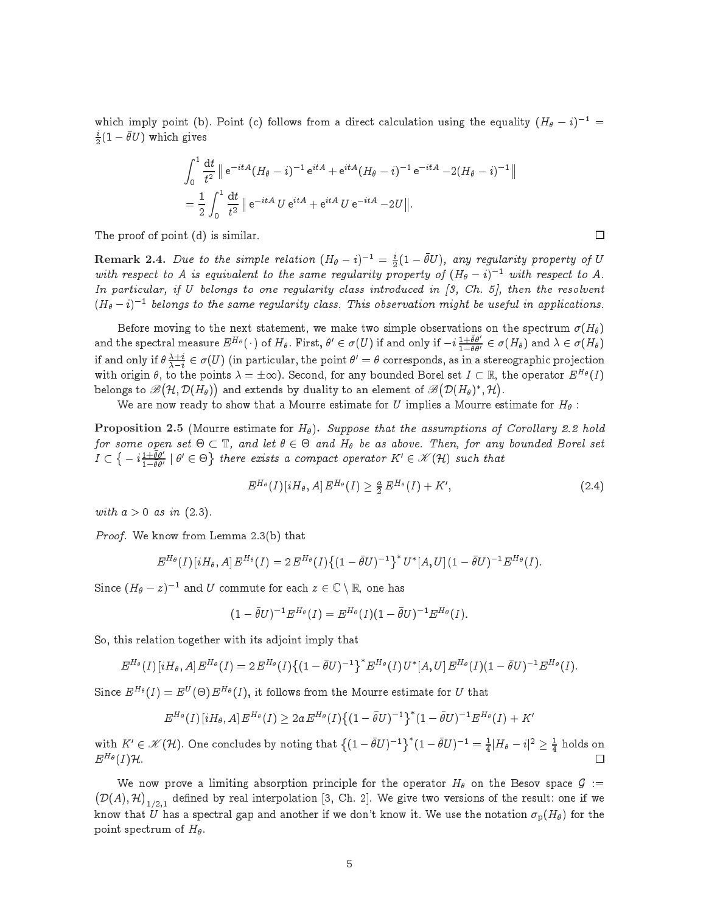which imply point (b). Point (c) follows from a direct calculation using the equality  $(H_{\theta} - i)^{-1} =$  $\frac{i}{6}(1-\bar{\theta}U)$  which gives

$$
\int_0^1 \frac{dt}{t^2} \| e^{-itA} (H_\theta - i)^{-1} e^{itA} + e^{itA} (H_\theta - i)^{-1} e^{-itA} - 2(H_\theta - i)^{-1} \|
$$
  
= 
$$
\frac{1}{2} \int_0^1 \frac{dt}{t^2} \| e^{-itA} U e^{itA} + e^{itA} U e^{-itA} - 2U \|.
$$

The proof of point (d) is similar.

**Remark 2.4.** Due to the simple relation  $(H_{\theta} - i)^{-1} = \frac{i}{2}(1 - \bar{\theta}U)$ , any regularity property of U with respect to A is equivalent to the same regularity property of  $(H_{\theta}-i)^{-1}$  with respect to A. In particular, if U belongs to one regularity class introduced in  $(3, Ch. 5)$ , then the resolvent  $(\Pi_\theta - \iota)$  – velongs to the same regularity class. This observation might be useful in applications.

Before moving to the next statement, we make two simple observations on the spectrum  $\sigma(H_{\theta})$ and the spectral measure  $E^{H_\theta}(\,\cdot\,)$  of  $H_\theta$ . First,  $\theta'\in\sigma(U)$  if and only if  $-i\frac{1+\theta\theta'}{1-\theta\theta'}\in\sigma(H_\theta)$  and  $\lambda\in\sigma(H_\theta)$ if and only if  $\theta\frac{\lambda+i}{\lambda-i}\in\sigma(U)$  (in particular, the point  $\theta'=\theta$  corresponds, as in a stereographic projection with origin  $\theta$ , to the points  $\lambda = \pm \infty$ ). Second, for any bounded Borel set  $I \subset \mathbb{R}$ , the operator  $E^{H_{\theta}}(I)$ belongs to  $\mathscr{B}(\mathcal{H},\mathcal{D}(H_\theta))$  and extends by duality to an element of  $\mathscr{B}(\mathcal{D}(H_\theta)^*,\mathcal{H})$ . .

We are now ready to show that a Mourre estimate for U implies a Mourre estimate for  $H_{\theta}$ :

**Proposition 2.5** (Mourre estimate for  $H_{\theta}$ ). Suppose that the assumptions of Corollary 2.2 hold for some open set  $\circ \subset \mathbb{I}$ , and let  $\circ \in \circ$  and  $\pi_\theta$  be as above. Then, for any bounded Borel set <u>in the set of the set of the set of the set of the set of the set of the set of the set of the set of the set of the set of the set of the set of the set of the set of the set of the set of the set of the set of the set o</u> - $- i \frac{1+\theta \theta'}{1-\theta \theta'}$  $\frac{1}{1-\theta\theta'}$   $\sigma \in \Theta$ } there exists a compact operator  $K' \in \mathcal{K}(\mathcal{H})$  such that

$$
E^{H_{\theta}}(I) \left[iH_{\theta}, A\right] E^{H_{\theta}}(I) \geq \frac{a}{2} E^{H_{\theta}}(I) + K', \tag{2.4}
$$

with  $a > 0$  as in  $(2.3)$ .

Proof. We know from Lemma 2.3(b) that

$$
E^{H_{\theta}}(I) \left[iH_{\theta}, A\right] E^{H_{\theta}}(I) = 2 E^{H_{\theta}}(I) \left\{(1-\bar{\theta}U)^{-1}\right\}^* U^*[A, U] (1-\bar{\theta}U)^{-1} E^{H_{\theta}}(I).
$$

Since  $(\Pi_\theta - z)$  and U commute for each  $z \in \mathbb{C} \setminus \mathbb{R}$ , one has

$$
(1-\bar{\theta}U)^{-1}E^{H_{\theta}}(I)=E^{H_{\theta}}(I)(1-\bar{\theta}U)^{-1}E^{H_{\theta}}(I).
$$

So, this relation together with its adjoint imply that

$$
E^{H_{\theta}}(I) \left[i H_{\theta}, A\right] E^{H_{\theta}}(I) = 2 E^{H_{\theta}}(I) \left\{ (1 - \bar{\theta} U)^{-1} \right\}^* E^{H_{\theta}}(I) U^* [A, U] E^{H_{\theta}}(I) (1 - \bar{\theta} U)^{-1} E^{H_{\theta}}(I).
$$

Since  $E^{H_{\theta}}(I) = E^{U}(\Theta) E^{H_{\theta}}(I)$ , it follows from the Mourre estimate for  $U$  that

$$
E^{H_{\theta}}(I)\left[iH_{\theta},A\right]E^{H_{\theta}}(I)\geq2a\,E^{H_{\theta}}(I)\big\{(1-\bar{\theta}U)^{-1}\big\}^{*}(1-\bar{\theta}U)^{-1}E^{H_{\theta}}(I)+K'
$$

with  $K'\in \mathscr{K}(\mathcal{H})$ . One concludes by noting that  $\big\{(1-\bar\theta U)^{-1}\big\}^*(1-\bar\theta U)^{-1}=\frac{1}{4}|H_{\theta}-i|^2\geq \frac{1}{4}$  holds on  $E^{H_{\theta}}(I)$ H.  $\Box$ 

We now prove a limiting absorption principle for the operator  $H_{\theta}$  on the Besov space  $\mathcal{G}$  :=  $\overline{\phantom{a}}$  $\blacksquare$  $\big)_{1/2,1}$  defined by real interpolation [3, Ch. 2]. We give two versions of the result: one if we know that U has a spectral gap and another if we don't know it. We use the notation  $\sigma_{\rm p}(H_{\theta})$  for the point spectrum of  $H_{\theta}$ .

 $\Box$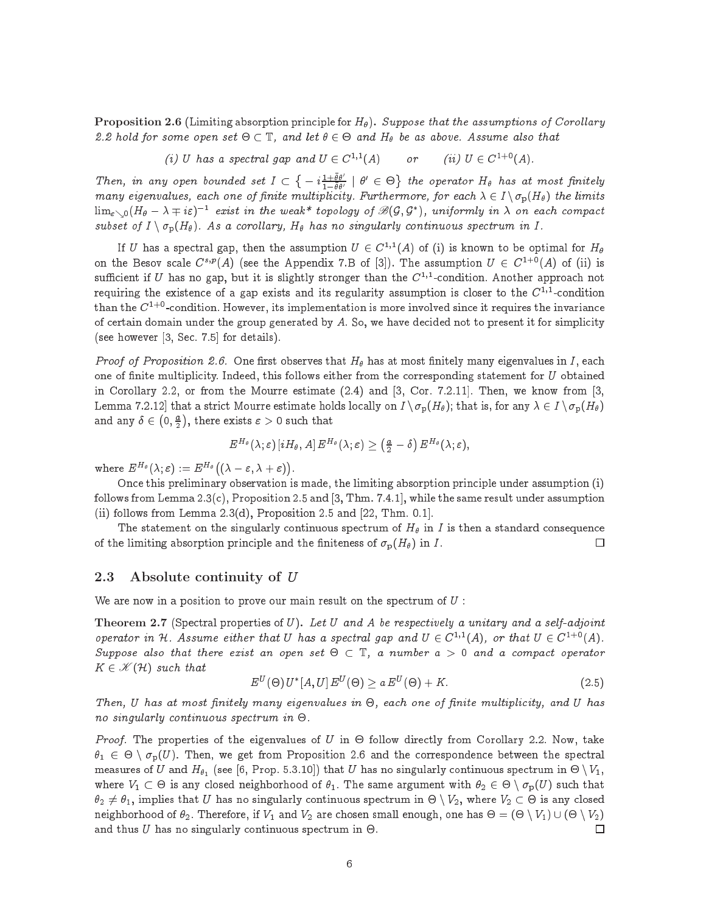**Proposition 2.6** (Limiting absorption principle for  $H_{\theta}$ ). Suppose that the assumptions of Corollary  $z. z$  hold for some open set  $\cup \subseteq \mathbb{I}$ , and let  $\sigma \in \cup$  and  $\pi_\theta$  ve as above. Assume also that

(i) U has a spectral gap and  $U \in C^{n+1}(A)$  or (ii)  $U \in C^{n+1}(A)$ .

Then, in any open bounded set I  $\overline{\phantom{a}}$  $- i \frac{1+\theta \theta'}{1-\theta \theta'}$  $\frac{1-\theta\theta'}{1-\theta\theta'}$   $\theta$   $\in$   $\Theta$ } the operator  $H_{\theta}$  has at most finitely  $m$ any eigenvalues, each one of finite multiplicity. Furthermore, for each  $\lambda \in I \setminus v_p(H_\theta)$  the limits  $\lim_{\varepsilon\searrow 0} (H_\theta - \lambda \mp i\varepsilon)^{-1}$  exist in the weak\* topology of  $\mathscr{B}(\mathcal{G},\mathcal{G}^*)$ , uniformly in  $\lambda$  on each compact subset of  $I \setminus \sigma_p(H_\theta)$ . As a corollary,  $H_\theta$  has no singularly continuous spectrum in  $I$ .

If  $U$  has a spectral gap, then the assumption  $U \in C^{*,*}(A)$  of (i) is known to be optimal for  $H_\theta$ on the Besov scale  $C^{s,p}(A)$  (see the Appendix 7.B of [3]). The assumption  $U \in C^{1+0}(A)$  of (ii) is sufficient if  $U$  has no gap, but it is slightly stronger than the  $C^{\ast,\ast}$ -condition. Another approach not requiring the existence of a gap exists and its regularity assumption is closer to the  $C^{+,-}$ condition than the  $C^{1+0}$ -condition. However, its implementation is more involved since it requires the invariance of certain domain under the group generated by  $A$ . So, we have decided not to present it for simplicity (see however  $[3, Sec. 7.5]$  for details).

*Proof of Proposition 2.6.* One first observes that  $H_\theta$  has at most finitely many eigenvalues in I, each one of finite multiplicity. Indeed, this follows either from the corresponding statement for  $U$  obtained in Corollary 2.2, or from the Mourre estimate  $(2.4)$  and  $[3, Cor. 7.2.11]$ . Then, we know from  $[3,$ Lemma 7.2.12 that a strict Mourre estimate holds locally on  $I \setminus \sigma_{\mathbf{p}}(H_\theta)$ ; that is, for any  $\lambda \in I \setminus \sigma_{\mathbf{p}}(H_\theta)$ and any  $E$  2  $\sim$  2  $\sim$  $\overline{\phantom{a}}$  $(0, \frac{a}{2})$ , there exists the exists  $\mathcal{L}$  such that the exists  $\mathcal{L}$  such that the exists  $\mathcal{L}$ 

$$
E^{H_\theta}(\lambda;\varepsilon)\left[iH_\theta,A\right]E^{H_\theta}(\lambda;\varepsilon)\geq \left(\tfrac{a}{2}-\delta\right)E^{H_\theta}(\lambda;\varepsilon),
$$

where  $E^{H_{\theta}}(\lambda;\varepsilon) := E^{H_{\theta}}(\lambda;\varepsilon)$  $\cdots$   $\cdots$   $\cdots$  $\sim$ 

Once this preliminary observation is made, the limiting absorption principle under assumption (i) follows from Lemma  $2.3(c)$ , Proposition  $2.5$  and [3, Thm. 7.4.1], while the same result under assumption (ii) follows from Lemma  $2.3(d)$ , Proposition 2.5 and  $[22, Thm. 0.1]$ .

The statement on the singularly continuous spectrum of  $H_{\theta}$  in I is then a standard consequence of the limiting absorption principle and the finiteness of  $\sigma_p(H_\theta)$  in I. □

### 2.3 Absolute continuity of <sup>U</sup>

We are now in a position to prove our main result on the spectrum of  $U$ :

Theorem 2.7 (Spectral properties of  $U$ ). Let  $U$  and  $A$  be respectively a unitary and a self-adjoint operator in H. Assume either that U has a spectral gap and  $U \in C^{1,*}(A)$ , or that  $U \in C^{1,*}(A)$ . Suppose also that there exist an open set - T, a number a > 0 and a ompa
t operator  $K \in \mathcal{K}(\mathcal{H})$  such that

$$
E^{U}(\Theta) U^*[A, U] E^{U}(\Theta) \ge a E^{U}(\Theta) + K. \tag{2.5}
$$

Then, U has at most nitely many eigenvalues in -, ea
h one of nite multipli
ity, and U has no singularly specific the continuous specific term in the continuous specific term in the continuous specific

Proof. The properties of the eigenvalues of U in - follow dire
tly from Corollary 2.2. Now, take 1 <sup>2</sup> - <sup>n</sup> p(U). Then, we get from Proposition 2.6 and the orresponden
e between the spe
tral measures of  $U$  and  $H_{\theta_1}$  (see [0, Prop. 5.3.10]) that  $U$  has no singularly continuous spectrum in  $\Theta \setminus V_1,$ is any is any is any is any is any is any is any is a substitute with  $\mu$  and  $\mu$  is a substitute with 2  $\mu$ r and the U has no singularly that U has no singularly the U has no singularly specific that  $\alpha$  and  $\alpha$  is any the U has not the U  $\alpha$ ان الله السادة المساوت التي تقدم عسارة المساوت التي تقدم المساوت التي تقدم التي تقدم التي تقدم التي تقدم التي  $\Box$ and thus U has no singularly ontinuous spe
trum in -.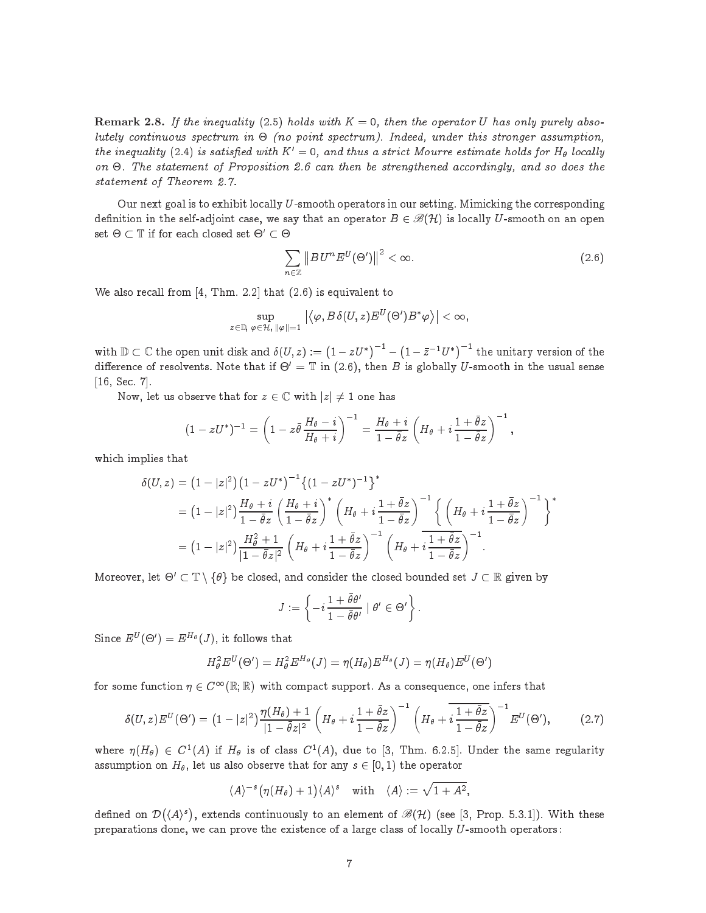**Remark 2.8.** If the inequality (2.5) holds with  $K = 0$ , then the operator U has only purely absolutely ontinuous spe
trum in - (no point spe
trum). Indeed, under this stronger assumption, the inequality (2.4) is satisfied with  $K' = 0$ , and thus a strict Mourre estimate holds for  $H_{\theta}$  locally on statement of Proposition 2.6 Page 2.6 December 2.6 September 2.6 December 2.6 December 2.6 December 2.6 Dece statement of Theorem 2.7.

Our next goal is to exhibit locally U-smooth operators in our setting. Mimicking the corresponding definition in the self-adjoint case, we say that an operator  $B \in \mathcal{B}(\mathcal{H})$  is locally U-smooth on an open  $\mathsf{set} \; \mathsf{C} \; \mathsf{I} \; \mathsf{I}$  if for each closed set  $\mathsf{C} \; \mathsf{C} \; \mathsf{C}$ 

$$
\sum_{n\in\mathbb{Z}}\left\|B\,U^{n}E^{U}(\Theta')\right\|^{2}<\infty.\tag{2.6}
$$

We also recall from  $[4, Thm. 2.2]$  that  $(2.6)$  is equivalent to

$$
\sup_{z\in\mathbb{D},\ \varphi\in\mathcal{H},\ \|\varphi\|=1} \left|\left\langle\varphi,B\,\delta(U,z)E^U(\Theta')B^*\varphi\right\rangle\right|<\infty,
$$

with  $\mathbb{D} \subset \mathbb{C}$  the open unit disk and  $\delta(U, z) := (1 - zU^*)^{-1}$  –  $(1 - \bar{z}^{-1}U^*)^{-1}$  the unitary version of the difference of resolvents. Note that if  $\Theta = \mathbb{I}$  in (2.6), then B is globally U-smooth in the usual sense  $[16, Sec. 7].$ 

Now, let us observe that for  $z \in \mathbb{C}$  with  $|z| \neq 1$  one has

$$
(1-zU^*)^{-1}=\left(1-z\bar\theta\,\frac{H_\theta-i}{H_\theta+i}\right)^{-1}=\frac{H_\theta+i}{1-\bar\theta z}\left(H_\theta+i\frac{1+\bar\theta z}{1-\bar\theta z}\right)^{-1},
$$

which implies that

$$
\delta(U, z) = (1 - |z|^2) (1 - zU^*)^{-1} \{ (1 - zU^*)^{-1} \}^*
$$
  
=  $(1 - |z|^2) \frac{H_{\theta} + i}{1 - \bar{\theta}z} \left( \frac{H_{\theta} + i}{1 - \bar{\theta}z} \right)^* \left( H_{\theta} + i \frac{1 + \bar{\theta}z}{1 - \bar{\theta}z} \right)^{-1} \left\{ \left( H_{\theta} + i \frac{1 + \bar{\theta}z}{1 - \bar{\theta}z} \right)^{-1} \right\}^*$   
=  $(1 - |z|^2) \frac{H_{\theta}^2 + 1}{|1 - \bar{\theta}z|^2} \left( H_{\theta} + i \frac{1 + \bar{\theta}z}{1 - \bar{\theta}z} \right)^{-1} \left( H_{\theta} + i \frac{1 + \bar{\theta}z}{1 - \bar{\theta}z} \right)^{-1}.$ 

moreover, let  $\cup_{\alpha}$   $\cup_{\alpha}$  if  $\{a\}$  be closed, and consider the closed bounded set  $\cup_{\alpha}$  is given by

$$
J := \left\{ -i \, \frac{1 + \bar{\theta} \theta'}{1 - \bar{\theta} \theta'} \mid \theta' \in \Theta' \right\}
$$

Since  $E^U(\Theta') = E^{H_{\theta}}(J)$ , it follows that

$$
H^2_{\theta} E^U(\Theta') = H^2_{\theta} E^{H_{\theta}}(J) = \eta(H_{\theta}) E^{H_{\theta}}(J) = \eta(H_{\theta}) E^U(\Theta')
$$

for some function  $\eta \in C^{\infty}(\mathbb{R}; \mathbb{R})$  with compact support. As a consequence, one infers that

$$
\delta(U,z)E^{U}(\Theta') = \left(1 - |z|^2\right)\frac{\eta(H_{\theta}) + 1}{|1 - \overline{\theta}z|^2} \left(H_{\theta} + i\frac{1 + \overline{\theta}z}{1 - \overline{\theta}z}\right)^{-1} \left(H_{\theta} + i\frac{1 + \overline{\theta}z}{1 - \overline{\theta}z}\right)^{-1}E^{U}(\Theta'),\tag{2.7}
$$

where  $\eta(H_\theta) \in C^1(A)$  if  $H_\theta$  is of class  $C^1(A)$ , due to [3, Thm. 6.2.5]. Under the same regularity assumption on  $H_{\theta}$ , let us also observe that for any  $s \in [0, 1)$  the operator

$$
\langle A \rangle^{-s} (\eta(H_{\theta}) + 1) \langle A \rangle^{s}
$$
 with  $\langle A \rangle := \sqrt{1 + A^{2}}$ ,

 $\overline{\phantom{a}}$  $\langle A \rangle$ <sup>s</sup>), extends continuously to an element of  $\mathscr{B}(H)$  (see [3, Prop. 5.3.1]). With these preparations done, we can prove the existence of a large class of locally  $U$ -smooth operators: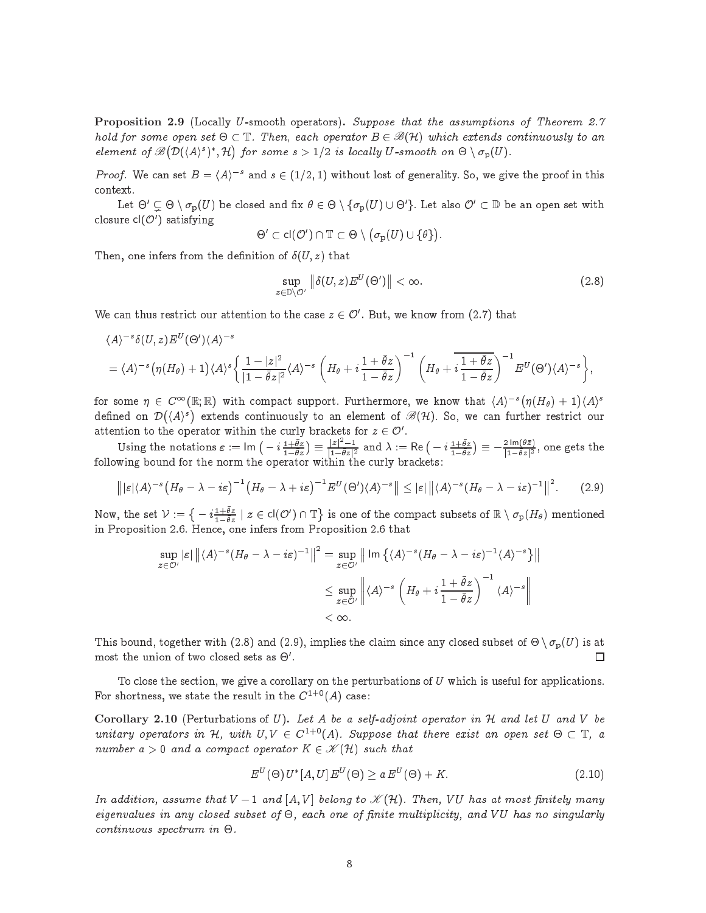Proposition 2.9 (Locally U-smooth operators). Suppose that the assumptions of Theorem 2.7 hold for some open set  $\Theta \subset \mathbb{T}$ . Then, each operator  $B \in \mathscr{B}(\mathcal{H})$  which extends continuously to an element of  $\mathscr{B}($  $\mathcal{D}(\langle A \rangle^s)^*, \mathcal{H}$  $\sim$ for some s > 1=2 is lo
al ly U-smooth on - <sup>n</sup> p(U).

*Proof.* We can set  $B = \langle A \rangle^{-s}$  and  $s \in (1/2, 1)$  without lost of generality. So, we give the proof in this ontext.

Let  $\circlearrowleft\circ\circlearrowright\circlearrowright\circ\rule{1em}{0}$  be closed and its  $\circlearrowright\circ\circlearrowleft\circ\rule{1em}{0}$  or  $\circlearrowright\circ\rule{1em}{0}$  be an open set with closure  $cl(\mathcal{O}')$  satisfying

$$
\Theta' \subset \mathsf{cl}(\mathcal{O}') \cap \mathbb{T} \subset \Theta \setminus \big(\sigma_\mathrm{p}(U) \cup \{\theta\}\big)
$$

Then, one infers from the definition of  $\delta(U, z)$  that

$$
\sup_{z \in \mathbb{D}\setminus\mathcal{O}'}\left\|\delta(U,z)E^U(\Theta')\right\| < \infty.
$$
\n(2.8)

We can thus restrict our attention to the case  $z \in U$  . But, we know from (2.7) that

$$
\langle A \rangle^{-s} \delta(U, z) E^{U}(\Theta') \langle A \rangle^{-s}
$$
  
=  $\langle A \rangle^{-s} \left( \eta(H_{\theta}) + 1 \right) \langle A \rangle^{s} \left\{ \frac{1 - |z|^2}{|1 - \overline{\theta}z|^2} \langle A \rangle^{-s} \left( H_{\theta} + i \frac{1 + \overline{\theta}z}{1 - \overline{\theta}z} \right)^{-1} \left( H_{\theta} + i \frac{1 + \overline{\theta}z}{1 - \overline{\theta}z} \right)^{-1} E^{U}(\Theta') \langle A \rangle^{-s} \right\},$ 

for some  $\eta \in C^{\infty}(\mathbb{R}; \mathbb{R})$  with compact support. Furthermore, we know that  $\langle A \rangle^{-s}(\eta(H_{\theta}) + 1)$  $\langle A \rangle^s$ . .  $\langle A \rangle^s$  extends continuously to an element of  $\mathscr{B}(H)$ . So, we can further restrict our attention to the operator within the curry prackets for  $z \in \mathcal{O}$ .

Using the notations  $\varepsilon := \text{Im} \left( -i \frac{1+\bar{\theta}z}{1-\bar{\theta}z} \right) \equiv \frac{|z|^2-1}{|1-\bar{\theta}z|^2}$  and  $\lambda := \text{Re} \left( -i \frac{1+\bar{\theta}z}{1-\bar{\theta}z} \right) \equiv -\frac{2 \text{Im}(\theta \bar{z})}{|1-\bar{\theta}z|^2}$ , one gets the following bound for the norm the operator within the urly bra
kets :

$$
\left\| |\varepsilon| \langle A \rangle^{-s} \left( H_{\theta} - \lambda - i \varepsilon \right)^{-1} \left( H_{\theta} - \lambda + i \varepsilon \right)^{-1} E^{U}(\Theta') \langle A \rangle^{-s} \right\| \leq |\varepsilon| \left\| \langle A \rangle^{-s} \left( H_{\theta} - \lambda - i \varepsilon \right)^{-1} \right\|^{2}.
$$
 (2.9)

Now, the set  $\mathcal{V}:=\big\{-i\frac{1+\bar{\theta}z}{1-\bar{\theta}z}\mid z\in\mathsf{cl}(\mathcal{O}')\cap\mathbb{T}$ is one of the compact subsets of  $\mathbb{R} \setminus \sigma_{\text{p}}(H_{\theta})$  mentioned in Proposition 2.6. Hen
e, one infers from Proposition 2.6 that

$$
\sup_{z \in \mathcal{O}'} |\varepsilon| \left\| \langle A \rangle^{-s} (H_\theta - \lambda - i\varepsilon)^{-1} \right\|^2 = \sup_{z \in \mathcal{O}'} \left\| \operatorname{Im} \left\{ \langle A \rangle^{-s} (H_\theta - \lambda - i\varepsilon)^{-1} \langle A \rangle^{-s} \right\} \right\|
$$
  

$$
\leq \sup_{z \in \mathcal{O}'} \left\| \langle A \rangle^{-s} \left( H_\theta + i \frac{1 + \overline{\theta} z}{1 - \overline{\theta} z} \right)^{-1} \langle A \rangle^{-s} \right\|
$$
  
<  $\infty.$ 

this bound, together with (2.9) and (2.9), implies the common since  $\ldots$  is at a modern to - (2.0) is at  $\ldots$ □  $\frac{1}{100}$  and  $\frac{1}{100}$  and  $\frac{1}{100}$  and  $\frac{1}{100}$  and  $\frac{1}{100}$  and  $\frac{1}{100}$  and  $\frac{1}{100}$  and  $\frac{1}{100}$  and  $\frac{1}{100}$  and  $\frac{1}{100}$  and  $\frac{1}{100}$  and  $\frac{1}{100}$  and  $\frac{1}{100}$  and  $\frac{1}{100}$  a

To close the section, we give a corollary on the perturbations of U which is useful for applications. For shortness, we state the result in the  $C^{1+0}(A)$  case:

Corollary 2.10 (Perturbations of  $U$ ). Let A be a self-adjoint operator in  $H$  and let  $U$  and  $V$  be unitary operators in  $\pi$ , with  $\sigma$ ,  $v \in C^{1+1}(A)$ . Suppose that there exist an open set  $\sigma \subset \mathbb{I}$ , a number  $a > 0$  and a compact operator  $K \in \mathcal{K}(\mathcal{H})$  such that

$$
E^{U}(\Theta) U^*[A, U] E^{U}(\Theta) \ge a E^{U}(\Theta) + K. \tag{2.10}
$$

In addition, assume that  $V-1$  and  $[A, V]$  belong to  $\mathscr{K}(\mathcal{H})$ . Then, VU has at most finitely many eigenvalues in any losed subset of -, ea
h one of nite multipli
ity, and V U has no singularly ontinuous spe
trum in -.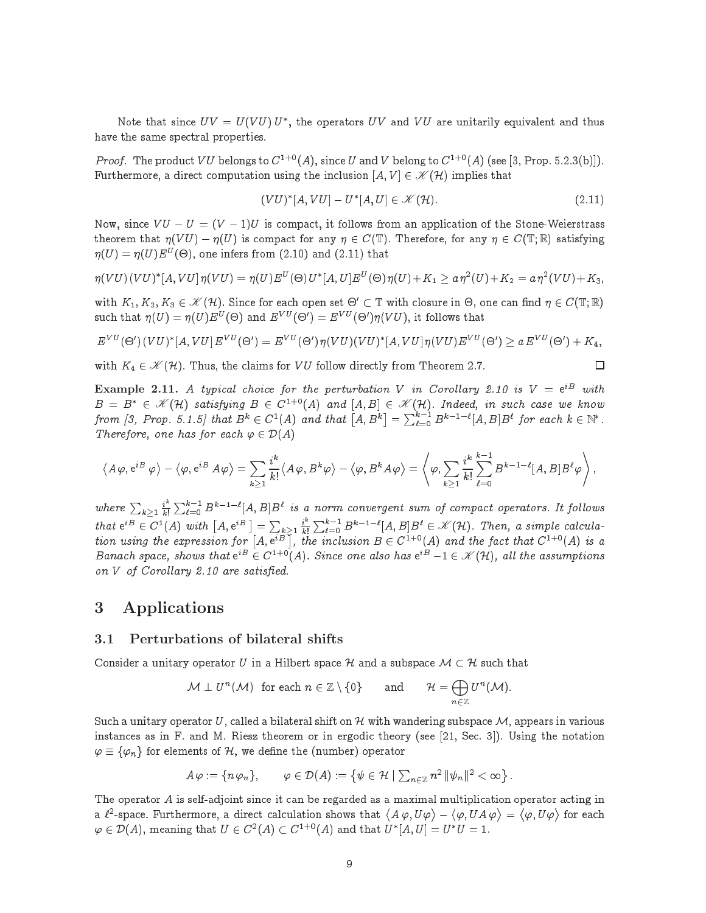Note that since  $U V = U(V U) U$  , the operators  $U V$  and  $V U$  are unitarily equivalent and thus have the same spectral properties.

*Proof.* The product VU belongs to  $C^{1+0}(A)$ , since U and V belong to  $C^{1+0}(A)$  (see [3, Prop. 5.2.3(b)]). Furthermore, a direct computation using the inclusion  $[A, V] \in \mathcal{K}(\mathcal{H})$  implies that

$$
(VU)^*[A, VU] - U^*[A, U] \in \mathcal{K}(\mathcal{H}).\tag{2.11}
$$

 $\Box$ 

Now, since  $VU - U = (V - 1)U$  is compact, it follows from an application of the Stone-Weierstrass theorem that  $\eta(VU) - \eta(U)$  is compact for any  $\eta \in C(\mathbb{T})$ . Therefore, for any  $\eta \in C(\mathbb{T}; \mathbb{R})$  satisfying  $\eta(U) = \eta(U)E^U(\Theta)$ , one infers from (2.10) and (2.11) that

$$
\eta(VU)(VU)^{*}[A,VU]\eta(VU)=\eta(U)E^{U}(\Theta)U^{*}[A,U]E^{U}(\Theta)\eta(U)+K_{1}\geq a\eta^{2}(U)+K_{2}=a\eta^{2}(VU)+K_{3},
$$

with  $K_1, K_2, K_3 \in \mathscr{K}(\mathcal{H})$ . Since for each open set  $\Theta' \subset \mathbb{T}$  with closure in  $\Theta$ , one can find  $\eta \in C(\mathbb{T}; \mathbb{R})$ such that  $\eta(U) = \eta(U) E^{U}(\Theta)$  and  $E^{VU}(\Theta') = E^{VU}(\Theta')\eta(VU)$ , it follows that

$$
E^{VU}(\Theta')(VU)^*[A,VU]E^{VU}(\Theta') = E^{VU}(\Theta')\eta(VU)(VU)^*[A,VU]\eta(VU)E^{VU}(\Theta') \ge a E^{VU}(\Theta') + K_4,
$$

with  $K_4 \in \mathcal{K}(\mathcal{H})$ . Thus, the claims for VU follow directly from Theorem 2.7.

**Example 2.11.** A typical choice for the perturbation V in Corollary 2.10 is  $V = e^{iB}$  $B = B^* \in \mathscr{K}(H)$  satisfying  $B \in C^{1+0}(A)$  and  $[A, B] \in \mathscr{K}(H)$ . Indeed, in such case we know from [3, Prop. 5.1.5] that  $B^k\in C^1(A)$  and that  $\big[A,B^k\big]=\sum_{\ell=0}^{k-1}B^{k-1-\ell}[A,B]B^\ell$  for each  $k\in\mathbb{N}^*$  . Therefore, one has for each  $\varphi \in \mathcal{D}(A)$ 

$$
\langle A\varphi, e^{iB}\varphi\rangle - \langle \varphi, e^{iB}A\varphi\rangle = \sum_{k\geq 1}\frac{i^k}{k!}\langle A\varphi, B^k\varphi\rangle - \langle \varphi, B^kA\varphi\rangle = \left\langle \varphi, \sum_{k\geq 1}\frac{i^k}{k!}\sum_{\ell=0}^{k-1} B^{k-1-\ell}[A,B]B^{\ell}\varphi \right\rangle,
$$

where  $\sum_{k>1} \frac{i^k}{k!}$  $\sum_{\ell=0}^{k-1}B^{k-1-\ell}[A,B]B^\ell$ is a norm of the sum of the sum of the sum of the sum of the sum of the sum of the sum of the sum of the sum o that  $e^{iB} \in C^1(A)$  with  $\left[A, e^{iB}\right] = \sum_{k\geq 1} \frac{i^k}{k!}$  $\sum_{\ell=0}^{k-1} B^{k-1-\ell}[A, B] B^{\ell} \in \mathscr{K}(\mathcal{H})$ . Then, a simple calculation using the expression for  $[A, e^{iB}]$ , the inclusion  $B \in C^{1+0}(A)$  and the fact that  $C^{1+0}(A)$  is a Banach space, shows that  $e^{iB} \in C^{1+0}(A)$ . Since one also has  $e^{iB} - 1 \in \mathcal{K}(\mathcal{H})$ , all the assumptions on V of Corollary 2.10 are satisfied.

### 3 Applications

#### 3.1 Perturbations of bilateral shifts

Consider a unitary operator U in a Hilbert space H and a subspace  $\mathcal{M} \subset \mathcal{H}$  such that

$$
\mathcal{M} \perp U^{n}(\mathcal{M}) \text{ for each } n \in \mathbb{Z} \setminus \{0\} \quad \text{and} \quad \mathcal{H} = \bigoplus_{n \in \mathbb{Z}} U^{n}(\mathcal{M}).
$$

Such a unitary operator U, called a bilateral shift on H with wandering subspace M, appears in various instances as in F. and M. Riesz theorem or in ergodic theory (see [21, Sec. 3]). Using the notation  $\varphi \equiv {\varphi_n}$  for elements of H, we define the (number) operator

$$
A\varphi:=\{n\varphi_n\},\qquad \varphi\in\mathcal{D}(A):=\left\{\psi\in\mathcal{H}\mid \sum\nolimits_{n\in\mathbb{Z}}n^2\,\|\psi_n\|^2<\infty\right\}.
$$

The operator  $A$  is self-adjoint since it can be regarded as a maximal multiplication operator acting in a  $\ell^2$ -space. Furthermore, a direct calculation shows that  $\langle\, A\,\varphi , U\varphi \,\rangle$   $\langle \varphi, U A \varphi \rangle$  $\langle \varphi, U \varphi \rangle$  for each  $\varphi \in D(A) ,$  meaning that  $U \in C^{\infty}(A) \subset C^{\infty}(A)$  and that  $U^{\ast}[A,U] = U^{\ast}U = 1.$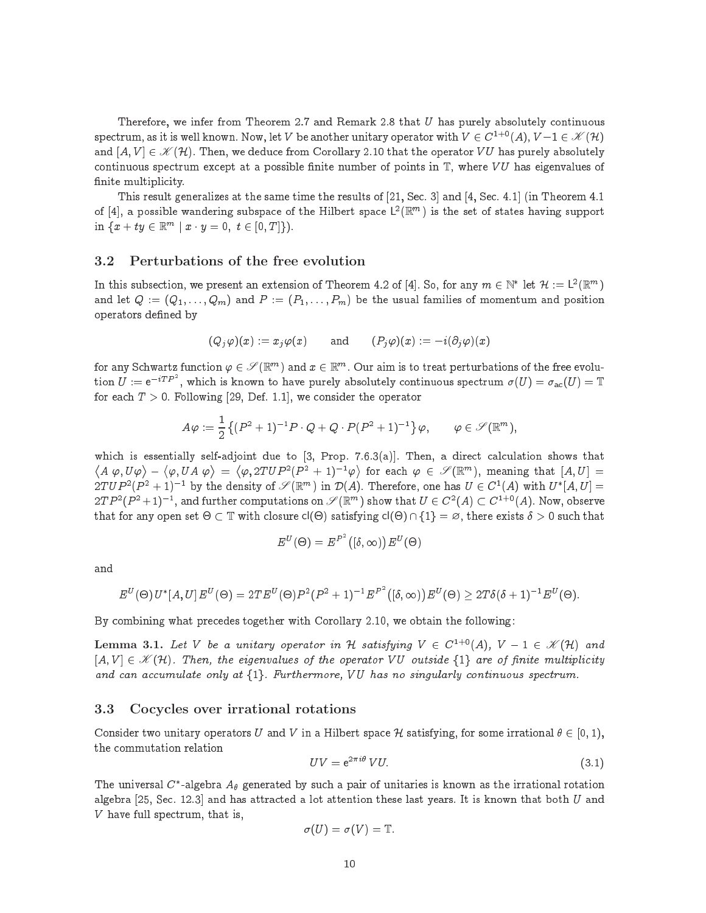Therefore, we infer from Theorem 2.7 and Remark 2.8 that  $U$  has purely absolutely continuous spectrum, as it is well known. Now, let V be another unitary operator with  $V \in C^{1+0}(A), V-1 \in \mathscr{K}(\mathcal{H})$ and  $[A, V] \in \mathscr{K}(H)$ . Then, we deduce from Corollary 2.10 that the operator VU has purely absolutely continuous spectrum except at a possible finite number of points in  $\mathbb{T}$ , where VU has eigenvalues of finite multiplicity.

This result generalizes at the same time the results of  $[21, \text{Sec. 3}]$  and  $[4, \text{Sec. 4.1}]$  (in Theorem 4.1) of [4], a possible wandering subspace of the Hilbert space  $L^2(\mathbb{R}^m)$  is the set of states having support in  $\{x + ty \in \mathbb{R}^m \mid x \cdot y = 0, t \in [0, T] \}.$ 

### 3.2 Perturbations of the free evolution

In this subsection, we present an extension of Theorem 4.2 of [4]. So, for any  $m\in\mathbb{N}^*$  let  $\mathcal{H}:=\mathsf{L}^2(\mathbb{R}^m)$ and let  $Q := (Q_1, \ldots, Q_m)$  and  $P := (P_1, \ldots, P_m)$  be the usual families of momentum and position operators defined by

$$
(Q_j\varphi)(x):=x_j\varphi(x)\qquad\text{and}\qquad (P_j\varphi)(x):=-i(\partial_j\varphi)(x)
$$

for any Schwartz function  $\varphi\in \mathscr{S}(\R^m)$  and  $x\in \R^m$  . Our aim is to treat perturbations of the free evolution  $U := e^{-iTP^2}$ , which is known to have purely absolutely continuous spectrum  $\sigma(U) = \sigma_{\rm ac}(U) = {\mathbb T}$ for each  $T > 0$ . Following [29, Def. 1.1], we consider the operator

$$
A\varphi:=\frac{1}{2}\left\{(P^2+1)^{-1}P\cdot Q+Q\cdot P(P^2+1)^{-1}\right\}\varphi, \qquad \varphi\in\mathscr{S}(\mathbb{R}^m),
$$

which is essentially self-adjoint due to [3, Prop. 7.6.3(a)]. Then, a direct calculation shows that  $\langle A | \varphi, U \varphi \rangle$  - $\langle \varphi, UA\varphi \rangle$  $\langle \varphi, 2TUP^2(P^2+1)^{-1}\varphi \rangle$  for each  $\varphi \in \mathscr{S}(\mathbb{R}^m)$ , meaning that  $[A, U] =$  $2TUP^2(P^2+1)^{-1}$  by the density of  $\mathscr{S}(\mathbb{R}^m)$  in  $\mathcal{D}(A)$ . Therefore, one has  $U \in C^1(A)$  with  $U^*[A, U] =$  $2T P^2 (P^2+1)^{-1}$ , and further computations on  $\mathscr{S}(\mathbb{R}^m)$  show that  $U \in C^2(A) \subset C^{1+0}(A)$ . Now, observe that for any open set  $\Theta \subset \mathbb{T}$  with closure  $\text{cl}(\Theta)$  satisfying  $\text{cl}(\Theta) \cap \{1\} = \varnothing$ , there exists  $\delta > 0$  such that

$$
E^U(\Theta)=E^{P^2}([\delta,\infty))E^U(\Theta)
$$

and

$$
E^{U}(\Theta) U^*[A, U] E^{U}(\Theta) = 2TE^{U}(\Theta) P^2(P^2 + 1)^{-1} E^{P^2} ([\delta, \infty)) E^{U}(\Theta) \ge 2T\delta(\delta + 1)^{-1} E^{U}(\Theta).
$$

By combining what precedes together with Corollary 2.10, we obtain the following:

**Lemma 3.1.** Let V be a unitary operator in H satisfying  $V \in C^{1+0}(A)$ ,  $V - 1 \in \mathcal{K}(\mathcal{H})$  and  $[A, V] \in \mathcal{K}(\mathcal{H})$ . Then, the eigenvalues of the operator VU outside  $\{1\}$  are of finite multiplicity and can accumulate only at  $\{1\}$ . Furthermore, VU has no singularly continuous spectrum.

### 3.3 Cocycles over irrational rotations

Consider two unitary operators U and V in a Hilbert space H satisfying, for some irrational  $\theta \in [0, 1)$ , the ommutation relation

$$
UV = e^{2\pi i \theta} VU. \tag{3.1}
$$

The universal C -algebra A<sub>0</sub> generated by such a pair of unitaries is known as the irrational rotation algebra [25, Sec. 12.3] and has attracted a lot attention these last years. It is known that both  $U$  and  $V$  have full spectrum, that is,

$$
\sigma(U)=\sigma(V)=\mathbb{T}.
$$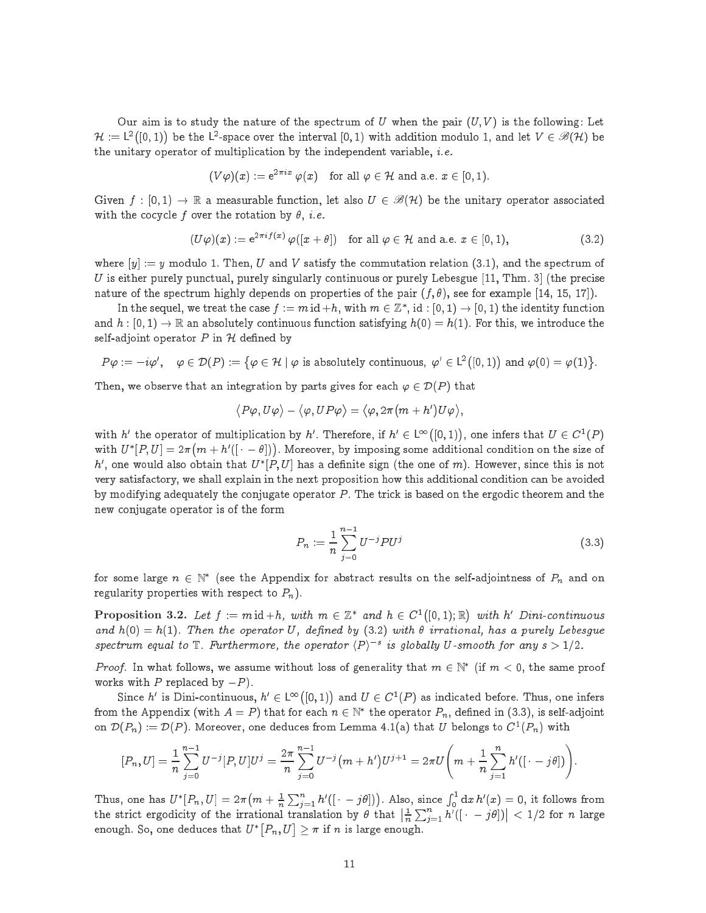Our aim is to study the nature of the spectrum of U when the pair  $(U, V)$  is the following: Let  $\mathcal{H} := L^2([0,1))$  be the L<sup>2</sup>-space over the interval [0, 1) with addition modulo 1, and let  $V \in \mathscr{B}(\mathcal{H})$  be the unitary operator of multiplication by the independent variable, *i.e.* 

$$
(V\varphi)(x) := e^{2\pi ix}\varphi(x) \text{ for all } \varphi \in \mathcal{H} \text{ and a.e. } x \in [0,1).
$$

Given  $f : [0, 1) \to \mathbb{R}$  a measurable function, let also  $U \in \mathcal{B}(\mathcal{H})$  be the unitary operator associated with the cocycle f over the rotation by  $\theta$ , *i.e.* 

$$
(U\varphi)(x) := e^{2\pi i f(x)} \varphi([x+\theta]) \quad \text{for all } \varphi \in \mathcal{H} \text{ and a.e. } x \in [0,1), \tag{3.2}
$$

where  $[y] := y$  modulo 1. Then, U and V satisfy the commutation relation (3.1), and the spectrum of  $U$  is either purely punctual, purely singularly continuous or purely Lebesgue [11, Thm. 3] (the precise nature of the spectrum highly depends on properties of the pair  $(f, \theta)$ , see for example [14, 15, 17]).

In the sequel, we treat the case  $f := m$  id  $+n$ , with  $m \in \mathbb{Z}$  , id :  $[0,1) \to [0,1)$  the identity function and  $h: [0, 1) \to \mathbb{R}$  an absolutely continuous function satisfying  $h(0) = h(1)$ . For this, we introduce the self-adjoint operator  $P$  in  $H$  defined by

$$
P\varphi := -i\varphi', \quad \varphi \in \mathcal{D}(P) := \{ \varphi \in \mathcal{H} \mid \varphi \text{ is absolutely continuous, } \varphi' \in L^2([0,1)) \text{ and } \varphi(0) = \varphi(1) \}.
$$

Then, we observe that an integration by parts gives for each  $\varphi \in \mathcal{D}(P)$  that

$$
\big \langle P\varphi, U\varphi\big \rangle-\big \langle\varphi, UP\varphi\big \rangle=\big \langle\varphi, 2\pi\big(m+h'\big)U\varphi\big \rangle,
$$

with h' the operator of multiplication by h'. Therefore, if  $h' \in L^{\infty}([0,1))$ , one infers that  $U \in C^{1}(P)$ WILLE  $U \mid F, U \mid \equiv 2\pi$  $(m + h'(\cdots \theta))$ . Moreover, by imposing some additional condition on the size of  $n$  , one would also obtain that  $U^{\top}$ P,  $U^{\top}$  has a definite sign (the one of  $m$ ). However, since this is not very satisfa
tory, we shall explain in the next proposition how this additional ondition an be avoided by modifying adequately the conjugate operator P. The trick is based on the ergodic theorem and the new onjugate operator is of the form

$$
P_n := \frac{1}{n} \sum_{j=0}^{n-1} U^{-j} P U^j
$$
\n(3.3)

for some large  $n \in \mathbb{N}$  (see the Appendix for abstract results on the self-adjointness of  $P_n$  and on regularity properties with respect to  $P_n$ ).

**Proposition 3.2.** Let  $f := m \operatorname{id} + h$ , with  $m \in \mathbb{Z}^*$  and  $h \in C^1$  $\blacksquare$  $\parallel$  with h' Dini-continuous and  $h(0) = h(1)$ . Then the operator U, defined by (3.2) with  $\theta$  irrational, has a purely Lebesgue spectrum equal to  $\mathbb{T}$ . Furthermore, the operator  $\langle P \rangle^{-s}$  is globally U-smooth for any  $s > 1/2$ .

Proof. In what follows, we assume without loss of generality that  $m \in \mathbb{N}$  (if  $m < 0$ , the same proof works with P replaced by  $-P$ ).

Since h' is Dini-continuous,  $h' \in L^{\infty}([0, 1))$  and  $U \in C^1(P)$  as indicated before. Thus, one infers from the Appendix (with  $A = P$  ) that for each  $n \in \mathbb{N}$  , the operator  $P_n,$  defined in (3.3), is self-adjoint on  $D(P_n) := D(P)$ , moreover, one deduces from Lemma 4.1(a) that U belongs to  $C^*(P_n)$  with

$$
[P_n, U] = \frac{1}{n} \sum_{j=0}^{n-1} U^{-j} [P, U] U^j = \frac{2\pi}{n} \sum_{j=0}^{n-1} U^{-j} (m + h') U^{j+1} = 2\pi U \left( m + \frac{1}{n} \sum_{j=1}^{n} h' ( \left[ \cdot - j\theta \right] ) \right).
$$

Thus, one has  $U^{*}[P_{n},U]=2\pi\big(m+\frac{1}{n}\big)$  $\sum_{j=1}^{n} h'([1 - j\theta])$ . Also, since  $\int_0^1 \mathrm{d}x \, h'(x) = 0$ , it follows from the stri
t ergodi
ity of the irrational translation by that  $\frac{1}{n}$  $\sum_{j=1}^n h'([ \cdot \ -j\theta])$  $\vert$  < 1/2 for *n* large enough. So, one deduces that  $U^*[P_n, U] > \pi$  if n is large enough.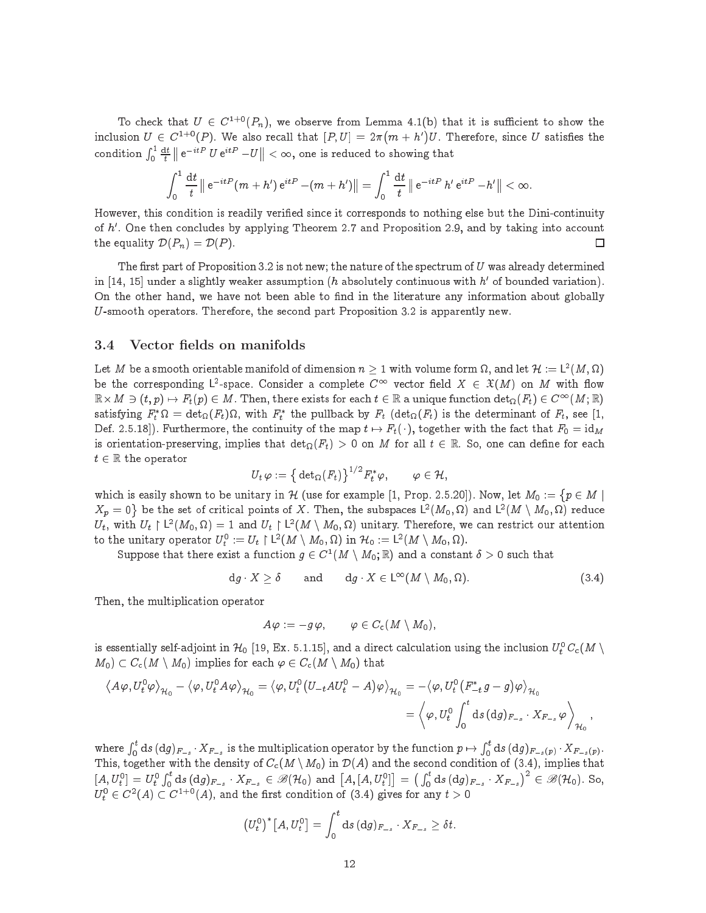To check that  $U \in C^{1+0}(P_n)$ , we observe from Lemma 4.1(b) that it is sufficient to show the inclusion  $U \in C^{1+0}(P)$ . We also recall that  $[P, U] = 2\pi (m + h')$ e is a second contract the U.S. contract since the single state of  $\mathcal{L}_\mathbf{X}$ condition  $\int_0^1 \frac{{\rm d} t}{t} \parallel {\rm e}^{-itP} \; U \, {\rm e}^{itP} - U$  $\|$   $<$   $\infty$ , one is reduced to showing that

$$
\int_0^1 \frac{\mathrm{d}t}{t} \left\| \mathrm{e}^{-itP} (m+h') \, \mathrm{e}^{itP} - (m+h') \right\| = \int_0^1 \frac{\mathrm{d}t}{t} \left\| \mathrm{e}^{-itP} \, h' \, \mathrm{e}^{itP} - h' \right\| < \infty.
$$

However, this condition is readily verified since it corresponds to nothing else but the Dini-continuity of  $n$  . One then concludes by applying Theorem 2.7 and Proposition 2.9, and by taking into account the equality  $\mathcal{D}(P_n) = \mathcal{D}(P)$ . □

The first part of Proposition 3.2 is not new; the nature of the spectrum of  $U$  was already determined  $\ln$  [14, 15] under a slightly weaker assumption (h absolutely continuous with  $n$  of bounded variation). On the other hand, we have not been able to find in the literature any information about globally U-smooth operators. Therefore, the se
ond part Proposition 3.2 is apparently new.

### 3.4 Vector fields on manifolds

 $\overline{\phantom{0}}$ 

Let  $M$  be a smooth orientable manifold of dimension  $n \geq 1$  with volume form  $\Omega,$  and let  $\mathcal{H} := L^2(M,\Omega)$ be the corresponding L<sup>2</sup>-space. Consider a complete  $C^{\infty}$  vector field  $X \in \mathfrak{X}(M)$  on M with flow  $R \times M \ni (t, p) \mapsto r_t(p) \in M$ . Then, there exists for each  $t \in \mathbb{R}$  a unique function det $\Omega(r_t) \in C^{\sim}(M;\mathbb{R})$ satisfying  $F_t$  is  $t = \text{det}_{\Omega}(F_t)$  is, with  $F_t$  the pullback by  $F_t$  (det $_{\Omega}(F_t)$  is the determinant of  $F_t$ , see [1, Def. 2.5.18). Furthermore, the continuity of the map  $t \mapsto F_t(\cdot)$ , together with the fact that  $F_0 = id_M$ is orientation-preserving, implies that  $\det_{\Omega}(r_t) > 0$  on M for all  $t \in \mathbb{R}$ . So, one can define for each  $t \in \mathbb{R}$  the operator

$$
U_t \, \varphi := \big\{ \det_{\Omega}(F_t) \big\}^{1/2} F_t^* \varphi, \qquad \varphi \in \mathcal{H},
$$

which is easily shown to be unitary in H (use for example [1, Prop. 2.5.20]). Now, let  $M_0 := \{p \in M \mid$  $X_p = 0$ } be the set of critical points of X. Then, the subspaces  $\mathsf{L}^2(M_0,\Omega)$  and  $\mathsf{L}^2(M \setminus M_0,\Omega)$  reduce  $U_t$ , with  $U_t \restriction L^2(M_0, \Omega) = 1$  and  $U_t \restriction L^2(M \setminus M_0, \Omega)$  unitary. Therefore, we can restrict our attention to the unitary operator  $U_t^0:=U_t\restriction \mathsf{L}^2(M\setminus M_0,\Omega)$  in  $\mathcal{H}_0:=\mathsf{L}^2(M\setminus M_0,\Omega).$ 

Suppose that there exist a function  $g \in C^-(M \setminus M_0, \mathbb{R})$  and a constant  $\delta > 0$  such that

$$
dg \cdot X \ge \delta \quad \text{and} \quad dg \cdot X \in L^{\infty}(M \setminus M_0, \Omega). \tag{3.4}
$$

Then, the multipli
ation operator

$$
A\varphi := -g\,\varphi, \qquad \varphi \in C_{\rm c}(M \setminus M_0),
$$

is essentially self-adjoint in  $\mu_0$  [19, Ex. 5.1.15], and a direct calculation using the inclusion  $\sigma_t$  C<sub>C</sub>(M \  $M_0$ )  $\subset C_c(M \setminus M_0)$  implies for each  $\varphi \in C_c(M \setminus M_0)$  that

$$
\begin{aligned} \left\langle A\varphi, U_t^0\varphi\right\rangle_{\mathcal{H}_0} - \left\langle \varphi, U_t^0A\varphi\right\rangle_{\mathcal{H}_0} &= \left\langle \varphi, U_t^0\big(U_{-t}AU_t^0-A\big)\varphi\right\rangle_{\mathcal{H}_0} = -\left\langle \varphi, U_t^0\big(F_{-t}^*g-g\big)\varphi\right\rangle_{\mathcal{H}_0} \\ &= \left\langle \varphi, U_t^0\int_0^t\mathrm{d}s\,(\mathrm{d}g)_{F_{-s}}\cdot X_{F_{-s}}\,\varphi\right\rangle_{\mathcal{H}_0}, \end{aligned}
$$

where  $\int_0^t\mathrm{d}s\,(\mathrm{d}g)_{F_{-s}}\cdot X_{F_{-s}}$  is the multiplication operator by the function  $p\mapsto$  $\int_0^t\mathrm{d}s\,(\mathrm{d}g)_{F_{-s}(p)}\cdot X_{F_{-s}(p)}.$ This, together with the density of C
(M nM0) in D(A) and the se
ond ondition of (3.4), implies that  $[A, U_t^0] = U_t^0 \int_0^t ds \,( \mathrm{d} g )_{F_{-s}} \cdot X_{F_{-s}} \in \mathscr{B}(\mathcal{H}_0)$  and  $\big[A, [A, U_t^0] \big]$   $=\big(\int_0^t\mathrm{d}s\,(\mathrm{d}g)_{F_{-s}}\cdot X_{F_{-s}}\big)^2\in\mathscr{B}(\mathcal{H}_0)$ . So,  $U_t \in C^-(A) \subset C^{++}(A)$ , and the first condition of (5.4) gives for any  $t > 0$ 

$$
(U_t^0)^* [A, U_t^0] = \int_0^t \mathrm{d} s \, (\mathrm{d} g)_{F_{-s}} \cdot X_{F_{-s}} \geq \delta t.
$$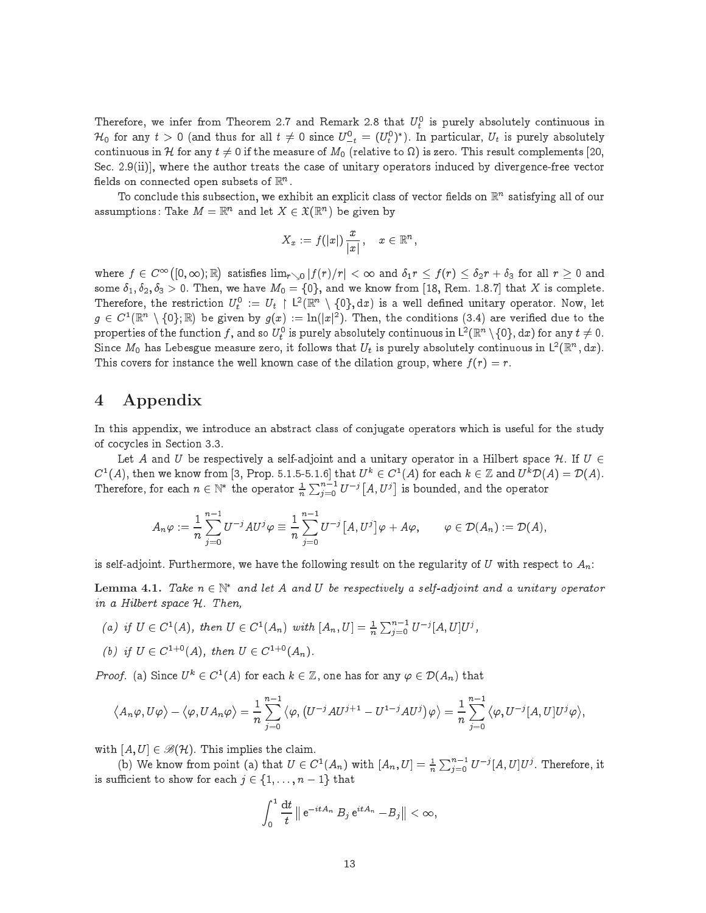Therefore, we infer from Theorem 2.7 and Remark 2.8 that  $U_t^{\perp}$  is purely absolutely continuous in  $\pi_0$  for any  $t > 0$  (and thus for all  $t \neq 0$  since  $U_{-t}^+ = (U_t^+)^+$ ). In particular,  $U_t$  is purely absolutely ontinuous in H  $\mathcal{O}(n)$  is zero. This result is zero. This result is zero. This result is zero. This result is zero. This result is zero. This result is zero. This result is zero. This result is zero. This result is zer Sec.  $2.9(i)$ , where the author treats the case of unitary operators induced by divergence-free vector fields on connected open subsets of  $\mathbb{R}^n$  .

To conclude this subsection, we exhibit an explicit class of vector fields on  $\mathbb{R}^n$  satisfying all of our assumptions: Take  $M = \mathbb{R}^n$  and let  $X \in \mathfrak{X}(\mathbb{R}^n)$  be given by

$$
X_x := f(|x|) \frac{x}{|x|}, \quad x \in \mathbb{R}^n,
$$

where  $f \in C^{\infty}([0,\infty); \mathbb{R})$ ) satisfies  $\lim_{r\searrow 0}|f(r)/r|<\infty$  and  $\delta_1 r\leq f(r)\leq \delta_2 r + \delta_3$  for all  $r\geq 0$  and some  $\delta_1, \delta_2, \delta_3 > 0$ . Then, we have  $M_0 = \{0\}$ , and we know from [18, Rem. 1.8.7] that X is complete. Therefore, the restriction  $U_t^0 := U_t \restriction L^2(\mathbb{R}^n \setminus \{0\}, dx)$  is a well defined unitary operator. Now, let  $q \in C^1(\mathbb{R}^n \setminus \{0\};\mathbb{R})$  be given by  $q(x) := \ln(|x|^2)$ . Then, the conditions (3.4) are verified due to the properties of the function  $f,$  and so  $U_t^0$  is purely absolutely continuous in  $\mathsf{L}^2(\mathbb{R}^n\setminus\{0\},\mathrm{d}x)$  for any  $t\neq 0.$ Since  $M_0$  has Lebesgue measure zero, it follows that  $U_t$  is purely absolutely continuous in  $\mathsf{L}^2(\mathbb{R}^n,\mathrm{d}x)$ . This covers for instance the well known case of the dilation group, where  $f(r) = r$ .

# 4 Appendix

In this appendix, we introduce an abstract class of conjugate operators which is useful for the study of cocycles in Section 3.3.

Let A and U be respectively a self-adjoint and a unitary operator in a Hilbert space H. If  $U \in$  $C^1(A)$ , then we know from [3, Prop. 5.1.5-5.1.6] that  $U^k \in C^1(A)$  for each  $k \in \mathbb{Z}$  and  $U^k \mathcal{D}(A) = \mathcal{D}(A)$ . Therefore, for each  $n \in \mathbb{N}$  the operator  $\frac{1}{n}$  $\sum_{j=0}^{n-1}U^{-j}[A,U^j]$ is bounded, and the operator

$$
A_n\varphi:=\frac{1}{n}\sum_{j=0}^{n-1}U^{-j}AU^j\varphi\equiv \frac{1}{n}\sum_{j=0}^{n-1}U^{-j}\big[A,U^j\big]\varphi+A\varphi,\qquad \varphi\in \mathcal{D}(A_n):=\mathcal{D}(A),
$$

is self-adjoint. Furthermore, we have the following result on the regularity of U with respect to  $A_n$ :

Lemma 4.1. Take  $n \in \mathbb{N}^*$  and let A and U be respectively a self-adjoint and a unitary operator in a Hilbert space H. Then,

- (a) if  $U \in C^1(A)$ , then  $U \in C^1(A_n)$  with  $[A_n, U] = \frac{1}{n}$  $\sum_{j=0}^{n-1} U^{-j} [A, U] U^{j},$
- (b) if  $U \in C^{1+0}(A)$ , then  $U \in C^{1+0}(A_n)$ .

*Proof.* (a) Since  $U^k \in C^1(A)$  for each  $k \in \mathbb{Z}$ , one has for any  $\varphi \in \mathcal{D}(A_n)$  that

$$
\langle A_n\varphi, U\varphi\rangle - \langle \varphi, UA_n\varphi\rangle = \frac{1}{n}\sum_{j=0}^{n-1} \langle \varphi, (U^{-j}AU^{j+1} - U^{1-j}AU^j)\varphi\rangle = \frac{1}{n}\sum_{j=0}^{n-1} \langle \varphi, U^{-j}[A, U]U^j\varphi\rangle,
$$

with  $[A, U] \in \mathscr{B}(H)$ . This implies the claim.

(b) we know from point (a) that  $U \in C^1(A_n)$  with  $[A_n, U] = \frac{1}{n}$  $\sum_{j=0}^{n-1} \, U^{-j} [A,U] U^j$ . Therefore, it is sufficient to show for each  $j \in \{1, \ldots, n-1\}$  that

$$
\int_0^1 \frac{\mathrm{d}t}{t} \parallel e^{-itA_n} B_j e^{itA_n} - B_j \parallel \, < \, \infty,
$$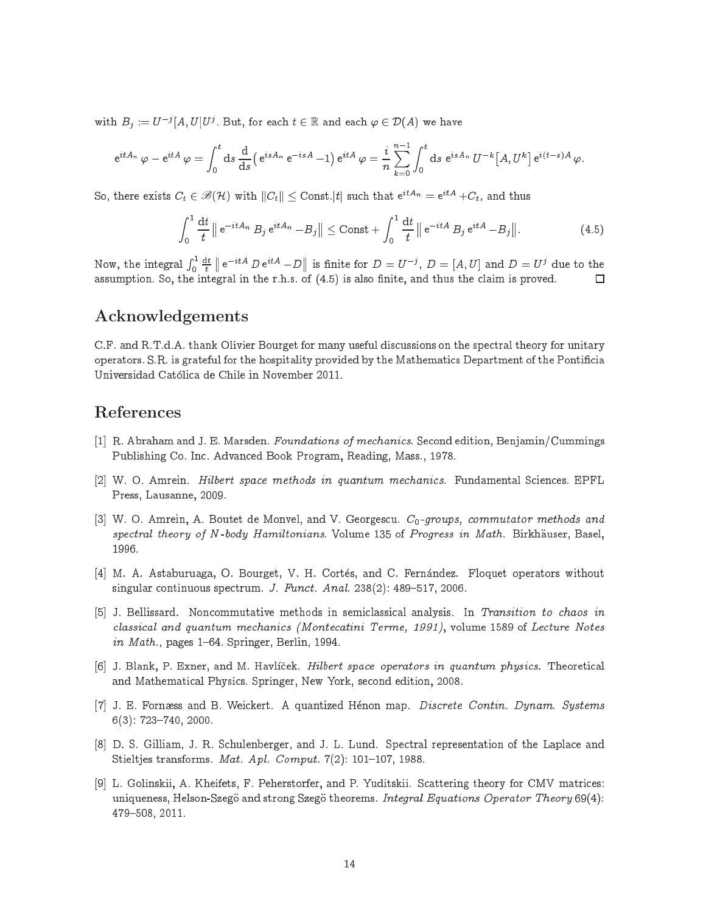with  $B_j := U^{-j}[A,U]U^j$ . But, for each  $t \in \mathbb{R}$  and each  $\varphi \in \mathcal{D}(A)$  we have

$$
e^{itA_n} \varphi - e^{itA} \varphi = \int_0^t ds \frac{d}{ds} \Big( e^{isA_n} e^{-isA} - 1 \Big) e^{itA} \varphi = \frac{i}{n} \sum_{k=0}^{n-1} \int_0^t ds e^{isA_n} U^{-k} \big[ A, U^k \big] e^{i(t-s)A} \varphi.
$$

So, there exists  $C_t \in \mathscr{B}(\mathcal{H})$  with  $\|C_t\| \leq \text{Const.} |t|$  such that  $\mathrm{e}^{itA_n} = \mathrm{e}^{itA} + C_t,$  and thus

$$
\int_0^1 \frac{\mathrm{d}t}{t} \left\| \mathrm{e}^{-itA_n} B_j \mathrm{e}^{itA_n} - B_j \right\| \le \mathrm{Const} + \int_0^1 \frac{\mathrm{d}t}{t} \left\| \mathrm{e}^{-itA} B_j \mathrm{e}^{itA} - B_j \right\|. \tag{4.5}
$$

Now, the integral  $\int_0^1 \frac{{\rm d}t}{t}\parallel {\rm e}^{-itA} \; D \, {\rm e}^{itA} - D$ | is finite for  $D = U^{-j}$ ,  $D = [A, U]$  and  $D = U^{j}$  due to the П assumption. So, the integral integral integral integral in the r.h.s. of (4.5) is also nite, and thus the r.h.

## Acknowledgements

C.F. and R.T.d.A. thank Olivier Bourget for many useful dis
ussions on the spe
tral theory for unitary operators. S.R. is grateful for the hospitality provided by the Mathemati
s Department of the Ponti
ia Universidad Catoli
a de Chile in November 2011.

# References

- [1] R. Abraham and J. E. Marsden. Foundations of mechanics. Second edition, Benjamin/Cummings Publishing Co. In
. Advan
ed Book Program, Reading, Mass., 1978.
- [2] W. O. Amrein. *Hilbert space methods in quantum mechanics*. Fundamental Sciences. EPFL Press, Lausanne, 2009.
- [3] W. O. Amrein, A. Boutet de Monvel, and V. Georgescu.  $C_0$ -groups, commutator methods and spectral theory of N-body Hamiltonians. Volume 135 of Progress in Math. Birkhäuser, Basel, 1996.
- [4] M. A. Astaburuaga, O. Bourget, V. H. Cortés, and C. Fernández. Floquet operators without singular continuous spectrum. J. Funct. Anal. 238(2): 489-517, 2006.
- [5] J. Bellissard. Noncommutative methods in semiclassical analysis. In Transition to chaos in classical and quantum mechanics (Montecatini Terme, 1991), volume 1589 of Lecture Notes in Math., pages  $1{-}64$ . Springer, Berlin, 1994.
- [6] J. Blank, P. Exner, and M. Havlíček. *Hilbert space operators in quantum physics*. Theoretical and Mathematical Physics. Springer, New York, second edition, 2008.
- [7] J. E. Fornæss and B. Weickert. A quantized Hénon map. Discrete Contin. Dynam. Systems  $6(3)$ : 723-740, 2000.
- [8] D. S. Gilliam, J. R. Schulenberger, and J. L. Lund. Spectral representation of the Laplace and Stieltjes transforms. Mat. Apl. Comput.  $7(2)$ : 101-107, 1988.
- [9] L. Golinskii, A. Kheifets, F. Peherstorfer, and P. Yuditskii. Scattering theory for CMV matrices: uniqueness, Helson-Szegö and strong Szegö theorems. Integral Equations Operator Theory 69(4): 479-508, 2011.